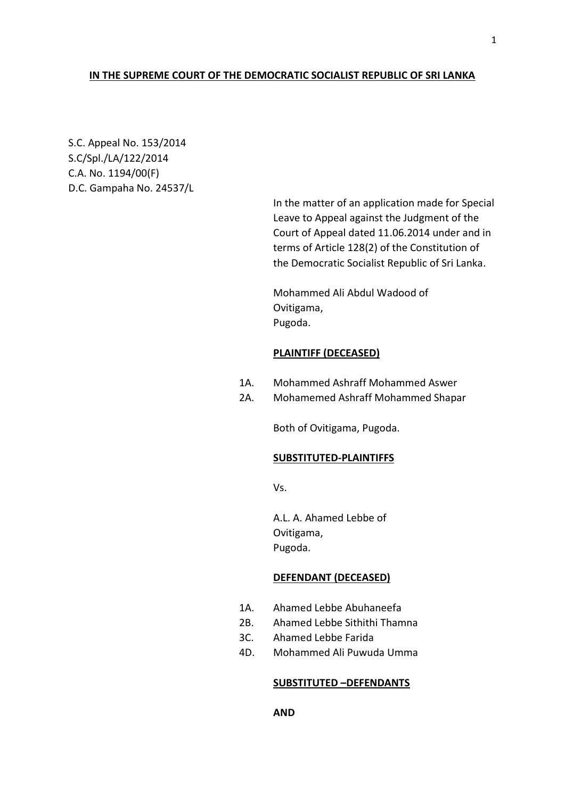## **IN THE SUPREME COURT OF THE DEMOCRATIC SOCIALIST REPUBLIC OF SRI LANKA**

S.C. Appeal No. 153/2014 S.C/Spl./LA/122/2014 C.A. No. 1194/00(F) D.C. Gampaha No. 24537/L

> In the matter of an application made for Special Leave to Appeal against the Judgment of the Court of Appeal dated 11.06.2014 under and in terms of Article 128(2) of the Constitution of the Democratic Socialist Republic of Sri Lanka.

Mohammed Ali Abdul Wadood of Ovitigama, Pugoda.

### **PLAINTIFF (DECEASED)**

- 1A. Mohammed Ashraff Mohammed Aswer
- 2A. Mohamemed Ashraff Mohammed Shapar

Both of Ovitigama, Pugoda.

# **SUBSTITUTED-PLAINTIFFS**

Vs.

A.L. A. Ahamed Lebbe of Ovitigama, Pugoda.

# **DEFENDANT (DECEASED)**

- 1A. Ahamed Lebbe Abuhaneefa
- 2B. Ahamed Lebbe Sithithi Thamna
- 3C. Ahamed Lebbe Farida
- 4D. Mohammed Ali Puwuda Umma

## **SUBSTITUTED –DEFENDANTS**

1

**AND**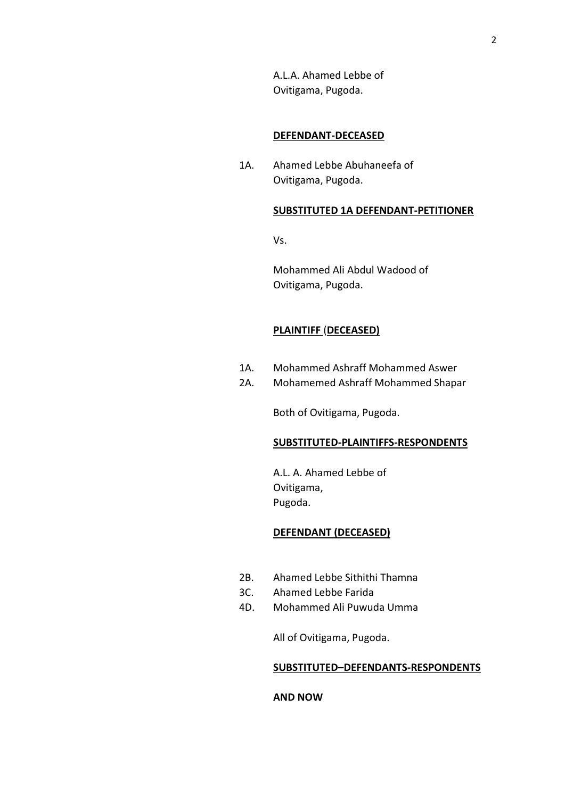A.L.A. Ahamed Lebbe of Ovitigama, Pugoda.

#### **DEFENDANT-DECEASED**

1A. Ahamed Lebbe Abuhaneefa of Ovitigama, Pugoda.

#### **SUBSTITUTED 1A DEFENDANT-PETITIONER**

Vs.

Mohammed Ali Abdul Wadood of Ovitigama, Pugoda.

## **PLAINTIFF** (**DECEASED)**

- 1A. Mohammed Ashraff Mohammed Aswer
- 2A. Mohamemed Ashraff Mohammed Shapar

Both of Ovitigama, Pugoda.

#### **SUBSTITUTED-PLAINTIFFS-RESPONDENTS**

A.L. A. Ahamed Lebbe of Ovitigama, Pugoda.

### **DEFENDANT (DECEASED)**

- 2B. Ahamed Lebbe Sithithi Thamna
- 3C. Ahamed Lebbe Farida
- 4D. Mohammed Ali Puwuda Umma

All of Ovitigama, Pugoda.

#### **SUBSTITUTED–DEFENDANTS-RESPONDENTS**

**AND NOW**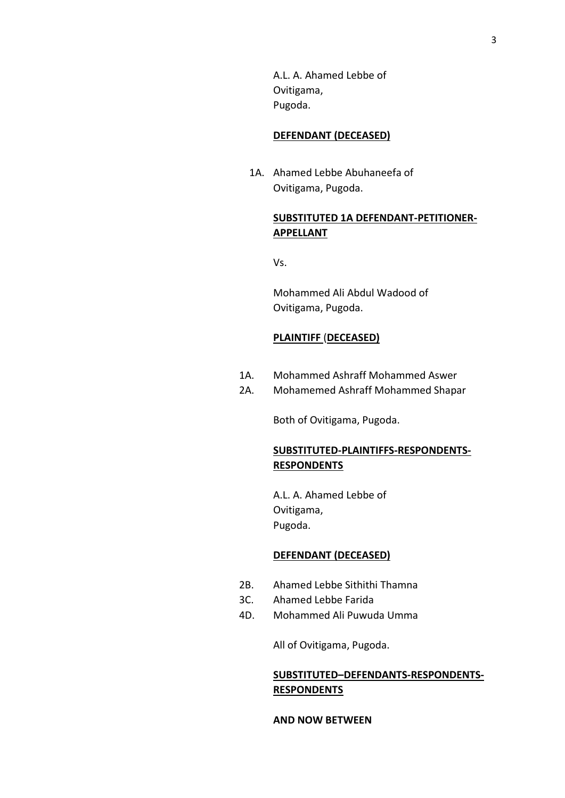A.L. A. Ahamed Lebbe of Ovitigama, Pugoda.

#### **DEFENDANT (DECEASED)**

 1A. Ahamed Lebbe Abuhaneefa of Ovitigama, Pugoda.

# **SUBSTITUTED 1A DEFENDANT-PETITIONER-APPELLANT**

Vs.

Mohammed Ali Abdul Wadood of Ovitigama, Pugoda.

## **PLAINTIFF** (**DECEASED)**

- 1A. Mohammed Ashraff Mohammed Aswer
- 2A. Mohamemed Ashraff Mohammed Shapar

Both of Ovitigama, Pugoda.

# **SUBSTITUTED-PLAINTIFFS-RESPONDENTS-RESPONDENTS**

A.L. A. Ahamed Lebbe of Ovitigama, Pugoda.

# **DEFENDANT (DECEASED)**

- 2B. Ahamed Lebbe Sithithi Thamna
- 3C. Ahamed Lebbe Farida
- 4D. Mohammed Ali Puwuda Umma

All of Ovitigama, Pugoda.

# **SUBSTITUTED–DEFENDANTS-RESPONDENTS-RESPONDENTS**

## **AND NOW BETWEEN**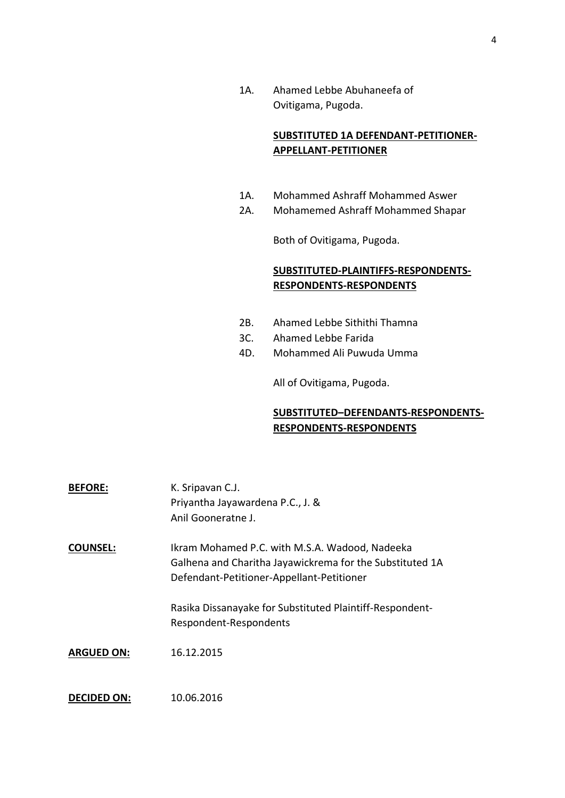1A. Ahamed Lebbe Abuhaneefa of Ovitigama, Pugoda.

# **SUBSTITUTED 1A DEFENDANT-PETITIONER-APPELLANT-PETITIONER**

- 1A. Mohammed Ashraff Mohammed Aswer
- 2A. Mohamemed Ashraff Mohammed Shapar

Both of Ovitigama, Pugoda.

# **SUBSTITUTED-PLAINTIFFS-RESPONDENTS-RESPONDENTS-RESPONDENTS**

- 2B. Ahamed Lebbe Sithithi Thamna
- 3C. Ahamed Lebbe Farida
- 4D. Mohammed Ali Puwuda Umma

All of Ovitigama, Pugoda.

# **SUBSTITUTED–DEFENDANTS-RESPONDENTS-RESPONDENTS-RESPONDENTS**

| <b>BEFORE:</b>     | K. Sripavan C.J.<br>Priyantha Jayawardena P.C., J. &<br>Anil Gooneratne J.                                                                              |
|--------------------|---------------------------------------------------------------------------------------------------------------------------------------------------------|
| <b>COUNSEL:</b>    | Ikram Mohamed P.C. with M.S.A. Wadood, Nadeeka<br>Galhena and Charitha Jayawickrema for the Substituted 1A<br>Defendant-Petitioner-Appellant-Petitioner |
|                    | Rasika Dissanayake for Substituted Plaintiff-Respondent-<br>Respondent-Respondents                                                                      |
| <b>ARGUED ON:</b>  | 16.12.2015                                                                                                                                              |
| <b>DECIDED ON:</b> | 10.06.2016                                                                                                                                              |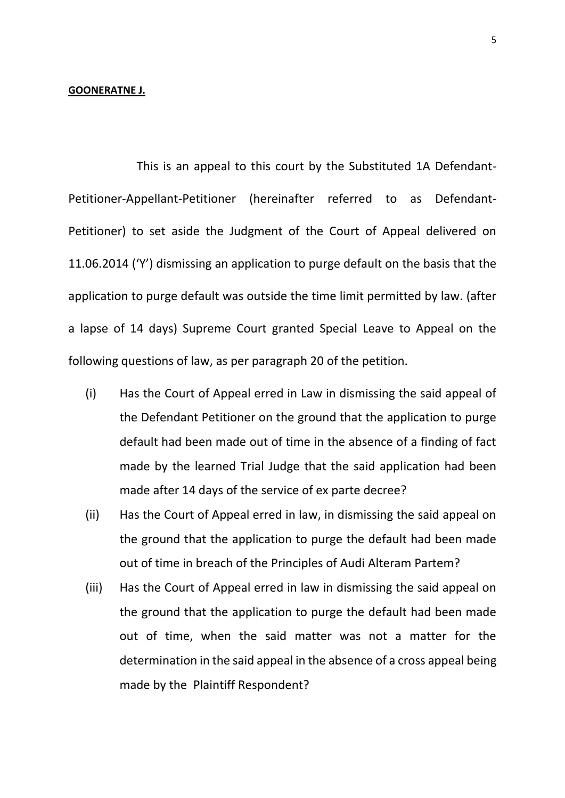## **GOONERATNE J.**

This is an appeal to this court by the Substituted 1A Defendant-Petitioner-Appellant-Petitioner (hereinafter referred to as Defendant-Petitioner) to set aside the Judgment of the Court of Appeal delivered on 11.06.2014 ('Y') dismissing an application to purge default on the basis that the application to purge default was outside the time limit permitted by law. (after a lapse of 14 days) Supreme Court granted Special Leave to Appeal on the following questions of law, as per paragraph 20 of the petition.

- (i) Has the Court of Appeal erred in Law in dismissing the said appeal of the Defendant Petitioner on the ground that the application to purge default had been made out of time in the absence of a finding of fact made by the learned Trial Judge that the said application had been made after 14 days of the service of ex parte decree?
- (ii) Has the Court of Appeal erred in law, in dismissing the said appeal on the ground that the application to purge the default had been made out of time in breach of the Principles of Audi Alteram Partem?
- (iii) Has the Court of Appeal erred in law in dismissing the said appeal on the ground that the application to purge the default had been made out of time, when the said matter was not a matter for the determination in the said appeal in the absence of a cross appeal being made by the Plaintiff Respondent?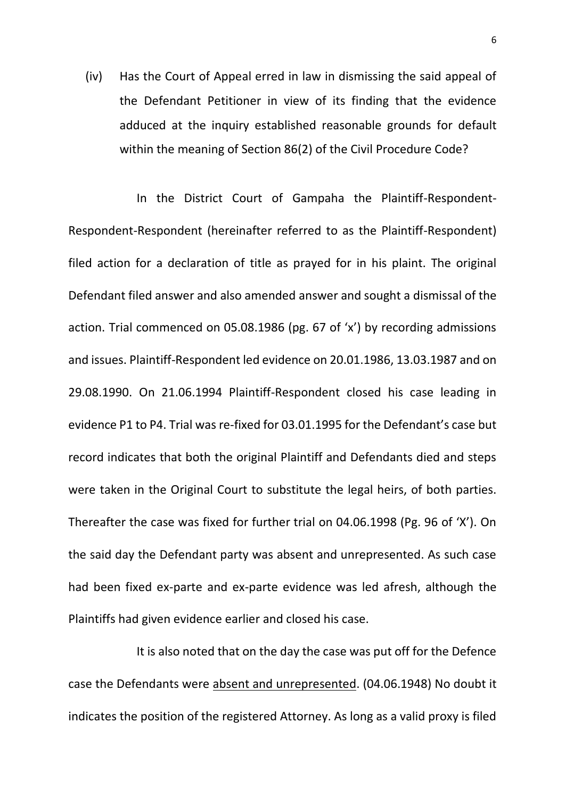(iv) Has the Court of Appeal erred in law in dismissing the said appeal of the Defendant Petitioner in view of its finding that the evidence adduced at the inquiry established reasonable grounds for default within the meaning of Section 86(2) of the Civil Procedure Code?

In the District Court of Gampaha the Plaintiff-Respondent-Respondent-Respondent (hereinafter referred to as the Plaintiff-Respondent) filed action for a declaration of title as prayed for in his plaint. The original Defendant filed answer and also amended answer and sought a dismissal of the action. Trial commenced on 05.08.1986 (pg. 67 of 'x') by recording admissions and issues. Plaintiff-Respondent led evidence on 20.01.1986, 13.03.1987 and on 29.08.1990. On 21.06.1994 Plaintiff-Respondent closed his case leading in evidence P1 to P4. Trial was re-fixed for 03.01.1995 for the Defendant's case but record indicates that both the original Plaintiff and Defendants died and steps were taken in the Original Court to substitute the legal heirs, of both parties. Thereafter the case was fixed for further trial on 04.06.1998 (Pg. 96 of 'X'). On the said day the Defendant party was absent and unrepresented. As such case had been fixed ex-parte and ex-parte evidence was led afresh, although the Plaintiffs had given evidence earlier and closed his case.

It is also noted that on the day the case was put off for the Defence case the Defendants were absent and unrepresented. (04.06.1948) No doubt it indicates the position of the registered Attorney. As long as a valid proxy is filed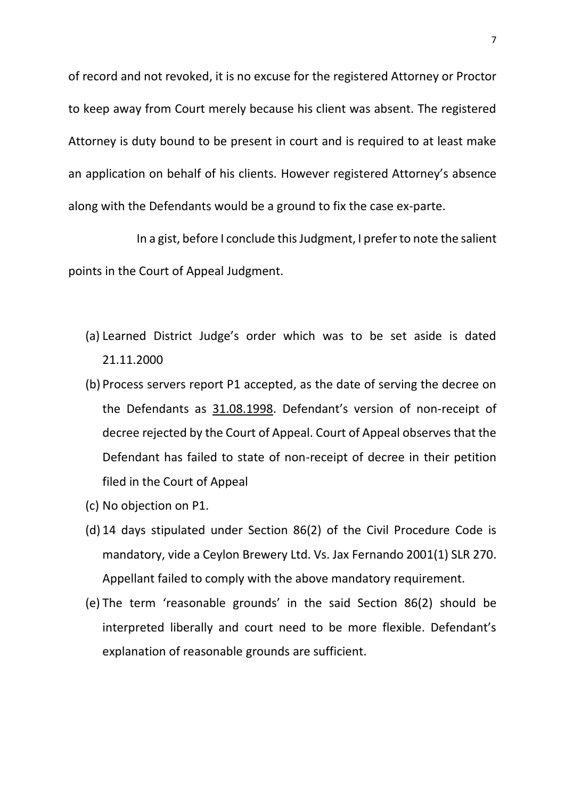of record and not revoked, it is no excuse for the registered Attorney or Proctor to keep away from Court merely because his client was absent. The registered Attorney is duty bound to be present in court and is required to at least make an application on behalf of his clients. However registered Attorney's absence along with the Defendants would be a ground to fix the case ex-parte.

In a gist, before I conclude this Judgment, I prefer to note the salient points in the Court of Appeal Judgment.

- (a) Learned District Judge's order which was to be set aside is dated 21.11.2000
- (b) Process servers report P1 accepted, as the date of serving the decree on the Defendants as 31.08.1998. Defendant's version of non-receipt of decree rejected by the Court of Appeal. Court of Appeal observes that the Defendant has failed to state of non-receipt of decree in their petition filed in the Court of Appeal
- (c) No objection on P1.
- (d) 14 days stipulated under Section 86(2) of the Civil Procedure Code is mandatory, vide a Ceylon Brewery Ltd. Vs. Jax Fernando 2001(1) SLR 270. Appellant failed to comply with the above mandatory requirement.
- (e) The term 'reasonable grounds' in the said Section 86(2) should be interpreted liberally and court need to be more flexible. Defendant's explanation of reasonable grounds are sufficient.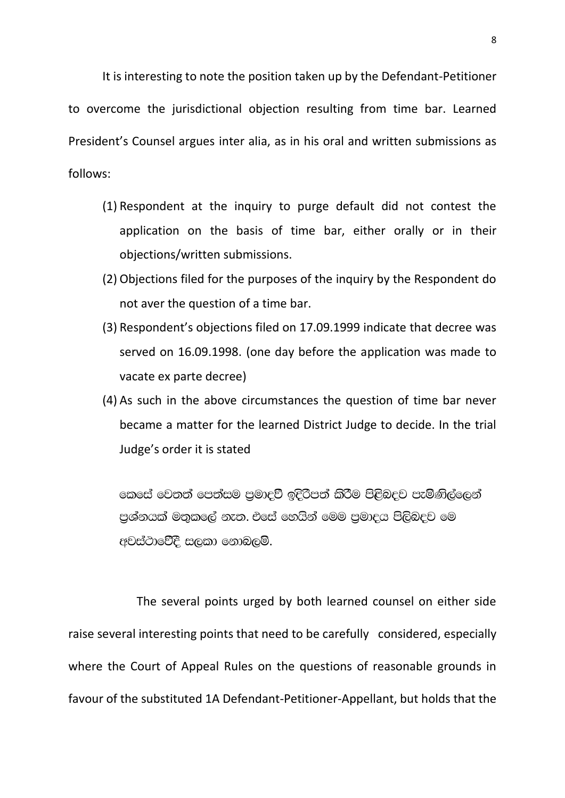It is interesting to note the position taken up by the Defendant-Petitioner to overcome the jurisdictional objection resulting from time bar. Learned President's Counsel argues inter alia, as in his oral and written submissions as follows:

- (1) Respondent at the inquiry to purge default did not contest the application on the basis of time bar, either orally or in their objections/written submissions.
- (2) Objections filed for the purposes of the inquiry by the Respondent do not aver the question of a time bar.
- (3) Respondent's objections filed on 17.09.1999 indicate that decree was served on 16.09.1998. (one day before the application was made to vacate ex parte decree)
- (4) As such in the above circumstances the question of time bar never became a matter for the learned District Judge to decide. In the trial Judge's order it is stated

කෙසේ වෙතත් පෙත්සම පුමාදුවී ඉදිරිපත් කිරීම පිළිබදව පැමිණිල්ලෙන් පුශ්නයක් මතුකලේ නැත. එසේ හෙයින් මෙම පුමාදය පිලිබදව මෙ අවස්ථාවේදී සලකා නොබලමි.

The several points urged by both learned counsel on either side raise several interesting points that need to be carefully considered, especially where the Court of Appeal Rules on the questions of reasonable grounds in favour of the substituted 1A Defendant-Petitioner-Appellant, but holds that the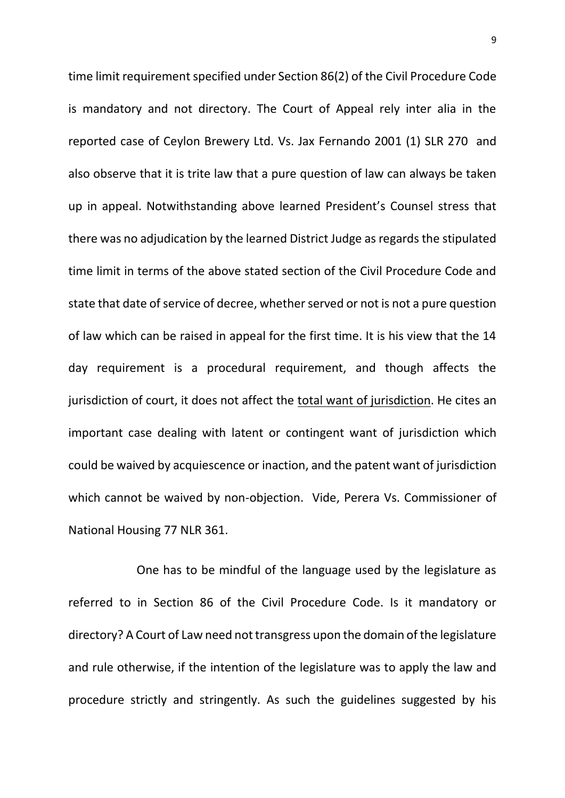time limit requirement specified under Section 86(2) of the Civil Procedure Code is mandatory and not directory. The Court of Appeal rely inter alia in the reported case of Ceylon Brewery Ltd. Vs. Jax Fernando 2001 (1) SLR 270 and also observe that it is trite law that a pure question of law can always be taken up in appeal. Notwithstanding above learned President's Counsel stress that there was no adjudication by the learned District Judge as regards the stipulated time limit in terms of the above stated section of the Civil Procedure Code and state that date of service of decree, whether served or not is not a pure question of law which can be raised in appeal for the first time. It is his view that the 14 day requirement is a procedural requirement, and though affects the jurisdiction of court, it does not affect the total want of jurisdiction. He cites an important case dealing with latent or contingent want of jurisdiction which could be waived by acquiescence or inaction, and the patent want of jurisdiction which cannot be waived by non-objection. Vide, Perera Vs. Commissioner of National Housing 77 NLR 361.

One has to be mindful of the language used by the legislature as referred to in Section 86 of the Civil Procedure Code. Is it mandatory or directory? A Court of Law need not transgress upon the domain of the legislature and rule otherwise, if the intention of the legislature was to apply the law and procedure strictly and stringently. As such the guidelines suggested by his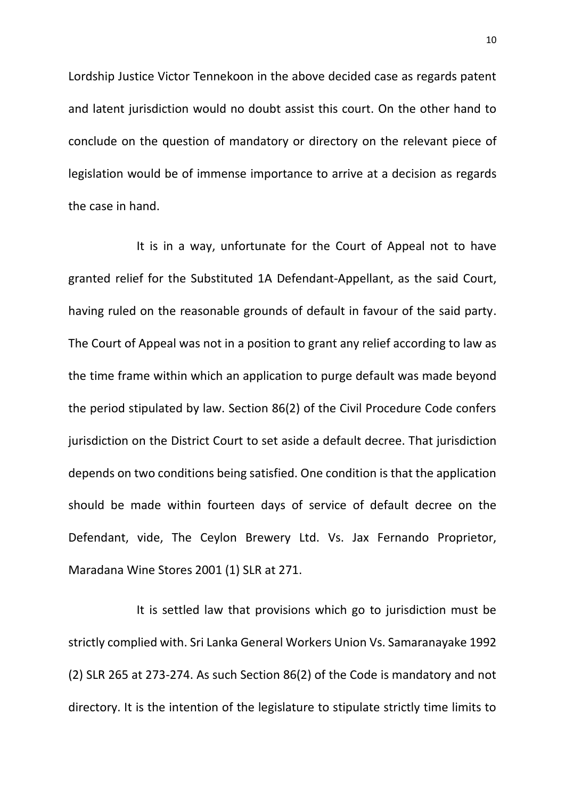Lordship Justice Victor Tennekoon in the above decided case as regards patent and latent jurisdiction would no doubt assist this court. On the other hand to conclude on the question of mandatory or directory on the relevant piece of legislation would be of immense importance to arrive at a decision as regards the case in hand.

It is in a way, unfortunate for the Court of Appeal not to have granted relief for the Substituted 1A Defendant-Appellant, as the said Court, having ruled on the reasonable grounds of default in favour of the said party. The Court of Appeal was not in a position to grant any relief according to law as the time frame within which an application to purge default was made beyond the period stipulated by law. Section 86(2) of the Civil Procedure Code confers jurisdiction on the District Court to set aside a default decree. That jurisdiction depends on two conditions being satisfied. One condition is that the application should be made within fourteen days of service of default decree on the Defendant, vide, The Ceylon Brewery Ltd. Vs. Jax Fernando Proprietor, Maradana Wine Stores 2001 (1) SLR at 271.

It is settled law that provisions which go to jurisdiction must be strictly complied with. Sri Lanka General Workers Union Vs. Samaranayake 1992 (2) SLR 265 at 273-274. As such Section 86(2) of the Code is mandatory and not directory. It is the intention of the legislature to stipulate strictly time limits to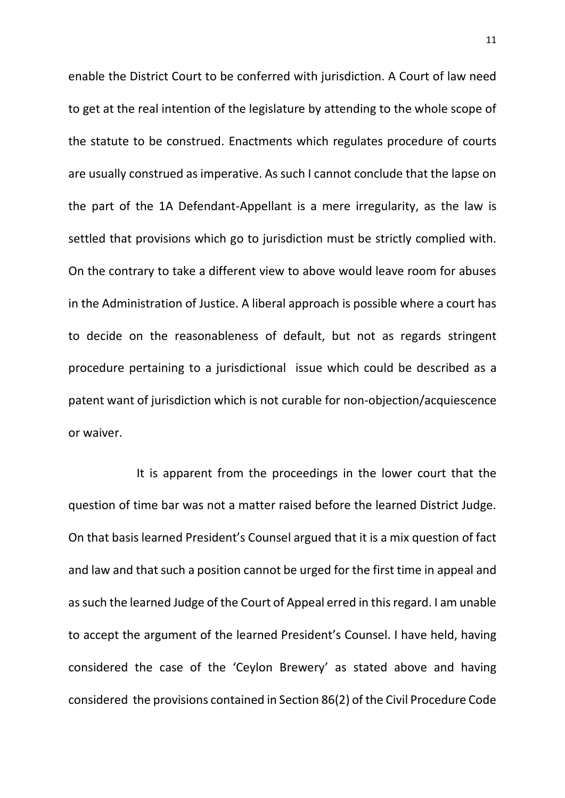enable the District Court to be conferred with jurisdiction. A Court of law need to get at the real intention of the legislature by attending to the whole scope of the statute to be construed. Enactments which regulates procedure of courts are usually construed as imperative. As such I cannot conclude that the lapse on the part of the 1A Defendant-Appellant is a mere irregularity, as the law is settled that provisions which go to jurisdiction must be strictly complied with. On the contrary to take a different view to above would leave room for abuses in the Administration of Justice. A liberal approach is possible where a court has to decide on the reasonableness of default, but not as regards stringent procedure pertaining to a jurisdictional issue which could be described as a patent want of jurisdiction which is not curable for non-objection/acquiescence or waiver.

It is apparent from the proceedings in the lower court that the question of time bar was not a matter raised before the learned District Judge. On that basis learned President's Counsel argued that it is a mix question of fact and law and that such a position cannot be urged for the first time in appeal and assuch the learned Judge of the Court of Appeal erred in this regard. I am unable to accept the argument of the learned President's Counsel. I have held, having considered the case of the 'Ceylon Brewery' as stated above and having considered the provisions contained in Section 86(2) of the Civil Procedure Code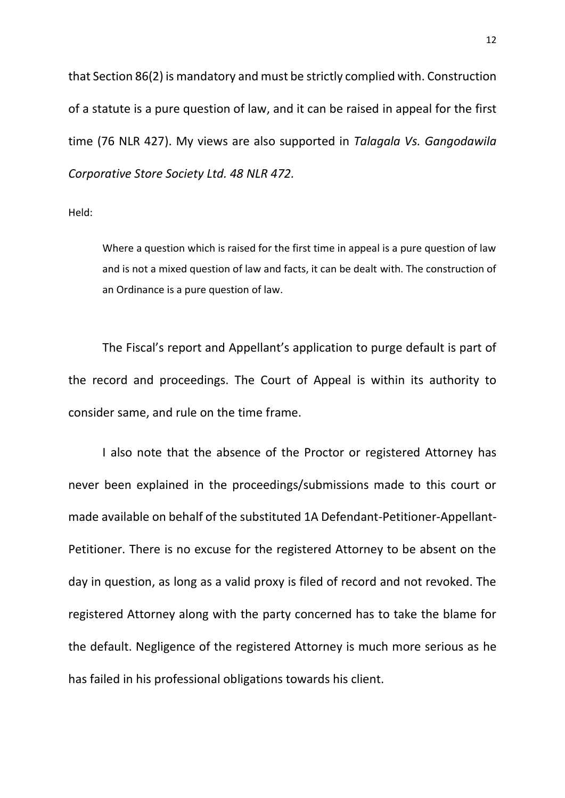that Section 86(2) is mandatory and must be strictly complied with. Construction of a statute is a pure question of law, and it can be raised in appeal for the first time (76 NLR 427). My views are also supported in *Talagala Vs. Gangodawila Corporative Store Society Ltd. 48 NLR 472.*

Held:

Where a question which is raised for the first time in appeal is a pure question of law and is not a mixed question of law and facts, it can be dealt with. The construction of an Ordinance is a pure question of law.

The Fiscal's report and Appellant's application to purge default is part of the record and proceedings. The Court of Appeal is within its authority to consider same, and rule on the time frame.

I also note that the absence of the Proctor or registered Attorney has never been explained in the proceedings/submissions made to this court or made available on behalf of the substituted 1A Defendant-Petitioner-Appellant-Petitioner. There is no excuse for the registered Attorney to be absent on the day in question, as long as a valid proxy is filed of record and not revoked. The registered Attorney along with the party concerned has to take the blame for the default. Negligence of the registered Attorney is much more serious as he has failed in his professional obligations towards his client.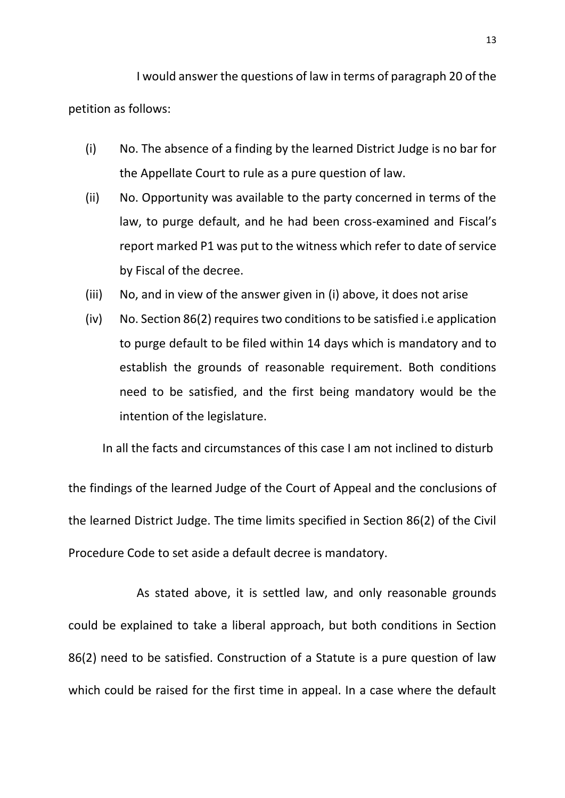I would answer the questions of law in terms of paragraph 20 of the petition as follows:

- (i) No. The absence of a finding by the learned District Judge is no bar for the Appellate Court to rule as a pure question of law.
- (ii) No. Opportunity was available to the party concerned in terms of the law, to purge default, and he had been cross-examined and Fiscal's report marked P1 was put to the witness which refer to date of service by Fiscal of the decree.
- (iii) No, and in view of the answer given in (i) above, it does not arise
- (iv) No. Section 86(2) requires two conditions to be satisfied i.e application to purge default to be filed within 14 days which is mandatory and to establish the grounds of reasonable requirement. Both conditions need to be satisfied, and the first being mandatory would be the intention of the legislature.

In all the facts and circumstances of this case I am not inclined to disturb

the findings of the learned Judge of the Court of Appeal and the conclusions of the learned District Judge. The time limits specified in Section 86(2) of the Civil Procedure Code to set aside a default decree is mandatory.

As stated above, it is settled law, and only reasonable grounds could be explained to take a liberal approach, but both conditions in Section 86(2) need to be satisfied. Construction of a Statute is a pure question of law which could be raised for the first time in appeal. In a case where the default